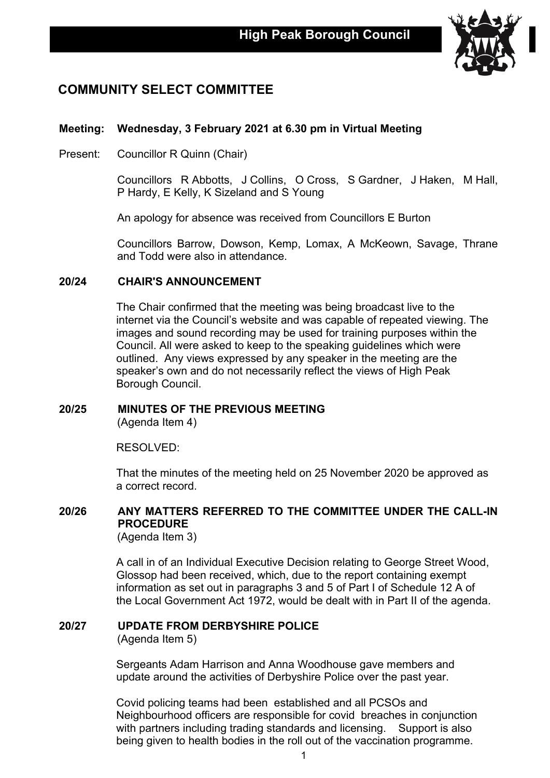

# **COMMUNITY SELECT COMMITTEE**

## **Meeting: Wednesday, 3 February 2021 at 6.30 pm in Virtual Meeting**

Present: Councillor R Quinn (Chair)

Councillors R Abbotts, J Collins, O Cross, S Gardner, J Haken, M Hall, P Hardy, E Kelly, K Sizeland and S Young

An apology for absence was received from Councillors E Burton

Councillors Barrow, Dowson, Kemp, Lomax, A McKeown, Savage, Thrane and Todd were also in attendance.

### **20/24 CHAIR'S ANNOUNCEMENT**

The Chair confirmed that the meeting was being broadcast live to the internet via the Council's website and was capable of repeated viewing. The images and sound recording may be used for training purposes within the Council. All were asked to keep to the speaking guidelines which were outlined. Any views expressed by any speaker in the meeting are the speaker's own and do not necessarily reflect the views of High Peak Borough Council.

# **20/25 MINUTES OF THE PREVIOUS MEETING**

(Agenda Item 4)

RESOLVED:

That the minutes of the meeting held on 25 November 2020 be approved as a correct record.

## **20/26 ANY MATTERS REFERRED TO THE COMMITTEE UNDER THE CALL-IN PROCEDURE**

(Agenda Item 3)

A call in of an Individual Executive Decision relating to George Street Wood, Glossop had been received, which, due to the report containing exempt information as set out in paragraphs 3 and 5 of Part I of Schedule 12 A of the Local Government Act 1972, would be dealt with in Part II of the agenda.

# **20/27 UPDATE FROM DERBYSHIRE POLICE**

(Agenda Item 5)

Sergeants Adam Harrison and Anna Woodhouse gave members and update around the activities of Derbyshire Police over the past year.

Covid policing teams had been established and all PCSOs and Neighbourhood officers are responsible for covid breaches in conjunction with partners including trading standards and licensing. Support is also being given to health bodies in the roll out of the vaccination programme.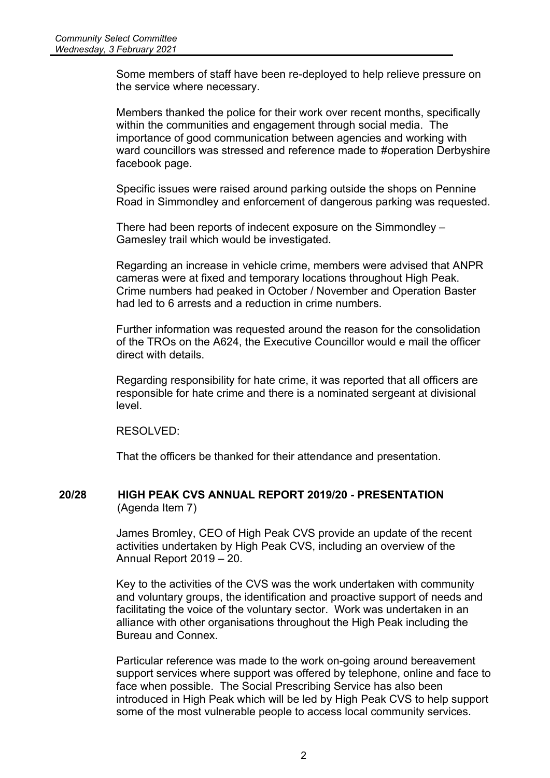Some members of staff have been re-deployed to help relieve pressure on the service where necessary.

Members thanked the police for their work over recent months, specifically within the communities and engagement through social media. The importance of good communication between agencies and working with ward councillors was stressed and reference made to #operation Derbyshire facebook page.

Specific issues were raised around parking outside the shops on Pennine Road in Simmondley and enforcement of dangerous parking was requested.

There had been reports of indecent exposure on the Simmondley – Gamesley trail which would be investigated.

Regarding an increase in vehicle crime, members were advised that ANPR cameras were at fixed and temporary locations throughout High Peak. Crime numbers had peaked in October / November and Operation Baster had led to 6 arrests and a reduction in crime numbers.

Further information was requested around the reason for the consolidation of the TROs on the A624, the Executive Councillor would e mail the officer direct with details.

Regarding responsibility for hate crime, it was reported that all officers are responsible for hate crime and there is a nominated sergeant at divisional level.

RESOLVED:

That the officers be thanked for their attendance and presentation.

#### **20/28 HIGH PEAK CVS ANNUAL REPORT 2019/20 - PRESENTATION** (Agenda Item 7)

James Bromley, CEO of High Peak CVS provide an update of the recent activities undertaken by High Peak CVS, including an overview of the Annual Report 2019 – 20.

Key to the activities of the CVS was the work undertaken with community and voluntary groups, the identification and proactive support of needs and facilitating the voice of the voluntary sector. Work was undertaken in an alliance with other organisations throughout the High Peak including the Bureau and Connex.

Particular reference was made to the work on-going around bereavement support services where support was offered by telephone, online and face to face when possible. The Social Prescribing Service has also been introduced in High Peak which will be led by High Peak CVS to help support some of the most vulnerable people to access local community services.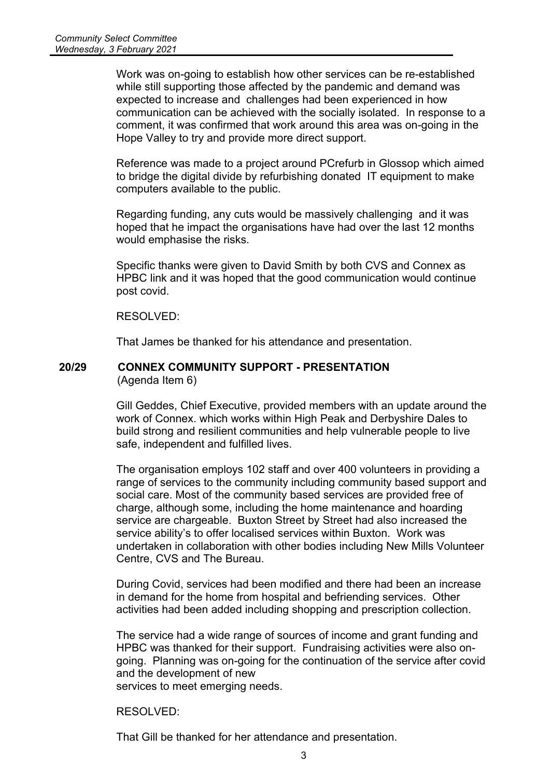Work was on-going to establish how other services can be re-established while still supporting those affected by the pandemic and demand was expected to increase and challenges had been experienced in how communication can be achieved with the socially isolated. In response to a comment, it was confirmed that work around this area was on-going in the Hope Valley to try and provide more direct support.

Reference was made to a project around PCrefurb in Glossop which aimed to bridge the digital divide by refurbishing donated IT equipment to make computers available to the public.

Regarding funding, any cuts would be massively challenging and it was hoped that he impact the organisations have had over the last 12 months would emphasise the risks.

Specific thanks were given to David Smith by both CVS and Connex as HPBC link and it was hoped that the good communication would continue post covid.

RESOLVED:

That James be thanked for his attendance and presentation.

#### **20/29 CONNEX COMMUNITY SUPPORT - PRESENTATION** (Agenda Item 6)

Gill Geddes, Chief Executive, provided members with an update around the work of Connex. which works within High Peak and Derbyshire Dales to build strong and resilient communities and help vulnerable people to live safe, independent and fulfilled lives.

The organisation employs 102 staff and over 400 volunteers in providing a range of services to the community including community based support and social care. Most of the community based services are provided free of charge, although some, including the home maintenance and hoarding service are chargeable. Buxton Street by Street had also increased the service ability's to offer localised services within Buxton. Work was undertaken in collaboration with other bodies including New Mills Volunteer Centre, CVS and The Bureau.

During Covid, services had been modified and there had been an increase in demand for the home from hospital and befriending services. Other activities had been added including shopping and prescription collection.

The service had a wide range of sources of income and grant funding and HPBC was thanked for their support. Fundraising activities were also ongoing. Planning was on-going for the continuation of the service after covid and the development of new services to meet emerging needs.

RESOLVED:

That Gill be thanked for her attendance and presentation.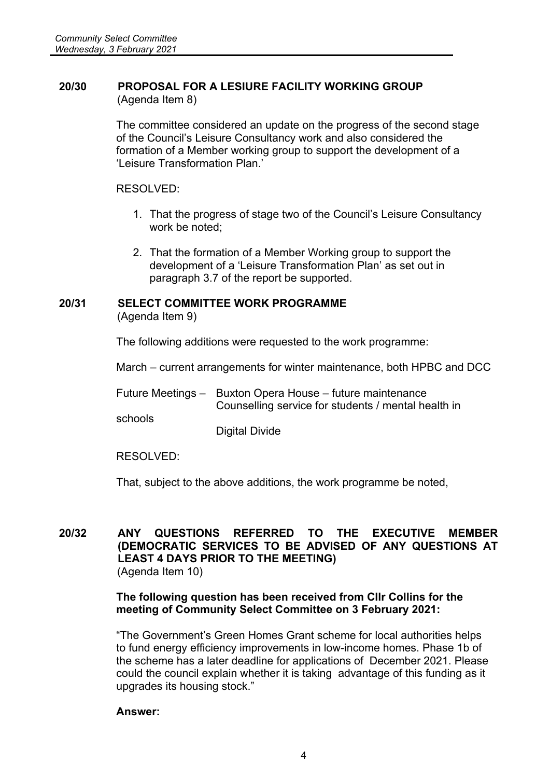### **20/30 PROPOSAL FOR A LESIURE FACILITY WORKING GROUP** (Agenda Item 8)

The committee considered an update on the progress of the second stage of the Council's Leisure Consultancy work and also considered the formation of a Member working group to support the development of a 'Leisure Transformation Plan.'

RESOLVED:

- 1. That the progress of stage two of the Council's Leisure Consultancy work be noted;
- 2. That the formation of a Member Working group to support the development of a 'Leisure Transformation Plan' as set out in paragraph 3.7 of the report be supported.

#### **20/31 SELECT COMMITTEE WORK PROGRAMME** (Agenda Item 9)

The following additions were requested to the work programme:

March – current arrangements for winter maintenance, both HPBC and DCC

|         | Future Meetings - Buxton Opera House - future maintenance |
|---------|-----------------------------------------------------------|
|         | Counselling service for students / mental health in       |
| schools |                                                           |

Digital Divide

RESOLVED:

That, subject to the above additions, the work programme be noted,

### **20/32 ANY QUESTIONS REFERRED TO THE EXECUTIVE MEMBER (DEMOCRATIC SERVICES TO BE ADVISED OF ANY QUESTIONS AT LEAST 4 DAYS PRIOR TO THE MEETING)** (Agenda Item 10)

## **The following question has been received from Cllr Collins for the meeting of Community Select Committee on 3 February 2021:**

"The Government's Green Homes Grant scheme for local authorities helps to fund energy efficiency improvements in low-income homes. Phase 1b of the scheme has a later deadline for applications of December 2021. Please could the council explain whether it is taking advantage of this funding as it upgrades its housing stock."

### **Answer:**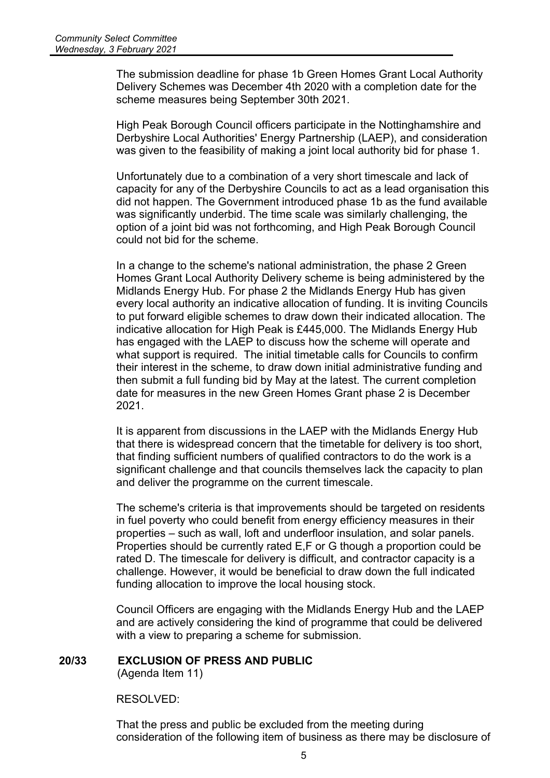The submission deadline for phase 1b Green Homes Grant Local Authority Delivery Schemes was December 4th 2020 with a completion date for the scheme measures being September 30th 2021.

High Peak Borough Council officers participate in the Nottinghamshire and Derbyshire Local Authorities' Energy Partnership (LAEP), and consideration was given to the feasibility of making a joint local authority bid for phase 1.

Unfortunately due to a combination of a very short timescale and lack of capacity for any of the Derbyshire Councils to act as a lead organisation this did not happen. The Government introduced phase 1b as the fund available was significantly underbid. The time scale was similarly challenging, the option of a joint bid was not forthcoming, and High Peak Borough Council could not bid for the scheme.

In a change to the scheme's national administration, the phase 2 Green Homes Grant Local Authority Delivery scheme is being administered by the Midlands Energy Hub. For phase 2 the Midlands Energy Hub has given every local authority an indicative allocation of funding. It is inviting Councils to put forward eligible schemes to draw down their indicated allocation. The indicative allocation for High Peak is £445,000. The Midlands Energy Hub has engaged with the LAEP to discuss how the scheme will operate and what support is required. The initial timetable calls for Councils to confirm their interest in the scheme, to draw down initial administrative funding and then submit a full funding bid by May at the latest. The current completion date for measures in the new Green Homes Grant phase 2 is December 2021.

It is apparent from discussions in the LAEP with the Midlands Energy Hub that there is widespread concern that the timetable for delivery is too short, that finding sufficient numbers of qualified contractors to do the work is a significant challenge and that councils themselves lack the capacity to plan and deliver the programme on the current timescale.

The scheme's criteria is that improvements should be targeted on residents in fuel poverty who could benefit from energy efficiency measures in their properties – such as wall, loft and underfloor insulation, and solar panels. Properties should be currently rated E,F or G though a proportion could be rated D. The timescale for delivery is difficult, and contractor capacity is a challenge. However, it would be beneficial to draw down the full indicated funding allocation to improve the local housing stock.

Council Officers are engaging with the Midlands Energy Hub and the LAEP and are actively considering the kind of programme that could be delivered with a view to preparing a scheme for submission.

### **20/33 EXCLUSION OF PRESS AND PUBLIC**

(Agenda Item 11)

RESOLVED:

That the press and public be excluded from the meeting during consideration of the following item of business as there may be disclosure of